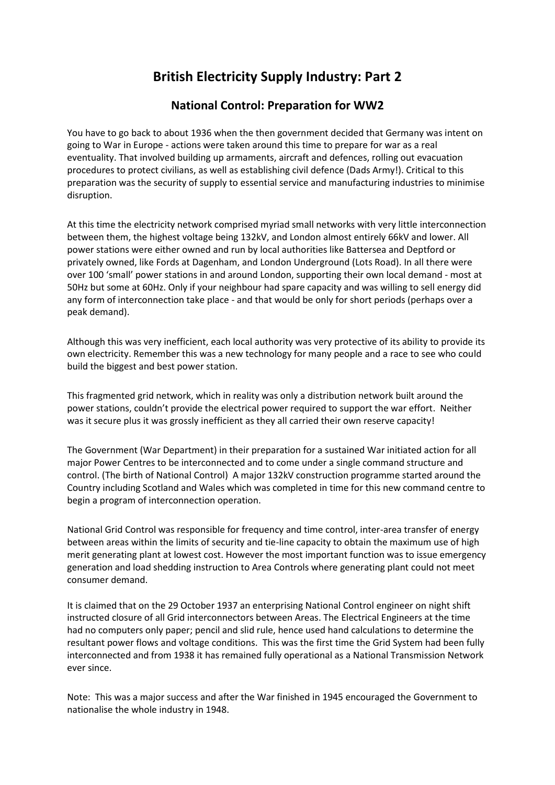## **British Electricity Supply Industry: Part 2**

## **National Control: Preparation for WW2**

You have to go back to about 1936 when the then government decided that Germany was intent on going to War in Europe - actions were taken around this time to prepare for war as a real eventuality. That involved building up armaments, aircraft and defences, rolling out evacuation procedures to protect civilians, as well as establishing civil defence (Dads Army!). Critical to this preparation was the security of supply to essential service and manufacturing industries to minimise disruption.

At this time the electricity network comprised myriad small networks with very little interconnection between them, the highest voltage being 132kV, and London almost entirely 66kV and lower. All power stations were either owned and run by local authorities like Battersea and Deptford or privately owned, like Fords at Dagenham, and London Underground (Lots Road). In all there were over 100 'small' power stations in and around London, supporting their own local demand - most at 50Hz but some at 60Hz. Only if your neighbour had spare capacity and was willing to sell energy did any form of interconnection take place - and that would be only for short periods (perhaps over a peak demand).

Although this was very inefficient, each local authority was very protective of its ability to provide its own electricity. Remember this was a new technology for many people and a race to see who could build the biggest and best power station.

This fragmented grid network, which in reality was only a distribution network built around the power stations, couldn't provide the electrical power required to support the war effort. Neither was it secure plus it was grossly inefficient as they all carried their own reserve capacity!

The Government (War Department) in their preparation for a sustained War initiated action for all major Power Centres to be interconnected and to come under a single command structure and control. (The birth of National Control) A major 132kV construction programme started around the Country including Scotland and Wales which was completed in time for this new command centre to begin a program of interconnection operation.

National Grid Control was responsible for frequency and time control, inter-area transfer of energy between areas within the limits of security and tie-line capacity to obtain the maximum use of high merit generating plant at lowest cost. However the most important function was to issue emergency generation and load shedding instruction to Area Controls where generating plant could not meet consumer demand.

It is claimed that on the 29 October 1937 an enterprising National Control engineer on night shift instructed closure of all Grid interconnectors between Areas. The Electrical Engineers at the time had no computers only paper; pencil and slid rule, hence used hand calculations to determine the resultant power flows and voltage conditions. This was the first time the Grid System had been fully interconnected and from 1938 it has remained fully operational as a National Transmission Network ever since.

Note: This was a major success and after the War finished in 1945 encouraged the Government to nationalise the whole industry in 1948.